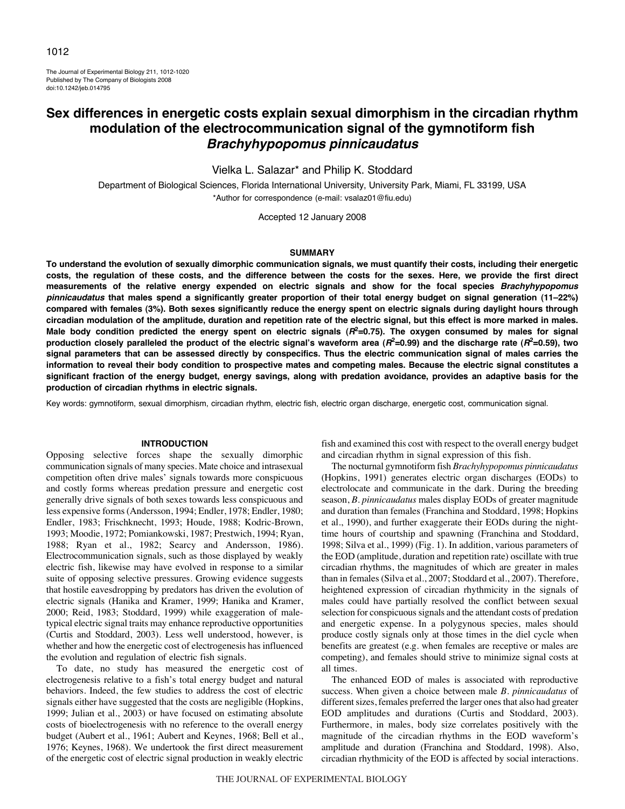The Journal of Experimental Biology 211, 1012-1020 Published by The Company of Biologists 2008 doi:10.1242/jeb.014795

# **Sex differences in energetic costs explain sexual dimorphism in the circadian rhythm modulation of the electrocommunication signal of the gymnotiform fish Brachyhypopomus pinnicaudatus**

Vielka L. Salazar\* and Philip K. Stoddard

Department of Biological Sciences, Florida International University, University Park, Miami, FL 33199, USA \*Author for correspondence (e-mail: vsalaz01@fiu.edu)

Accepted 12 January 2008

### **SUMMARY**

**To understand the evolution of sexually dimorphic communication signals, we must quantify their costs, including their energetic costs, the regulation of these costs, and the difference between the costs for the sexes. Here, we provide the first direct measurements of the relative energy expended on electric signals and show for the focal species Brachyhypopomus pinnicaudatus that males spend a significantly greater proportion of their total energy budget on signal generation (11–22%) compared with females (3%). Both sexes significantly reduce the energy spent on electric signals during daylight hours through circadian modulation of the amplitude, duration and repetition rate of the electric signal, but this effect is more marked in males. Male body condition predicted the energy spent on electric signals (R2=0.75). The oxygen consumed by males for signal production closely paralleled the product of the electric signal's waveform area (R2=0.99) and the discharge rate (R2=0.59), two signal parameters that can be assessed directly by conspecifics. Thus the electric communication signal of males carries the information to reveal their body condition to prospective mates and competing males. Because the electric signal constitutes a significant fraction of the energy budget, energy savings, along with predation avoidance, provides an adaptive basis for the production of circadian rhythms in electric signals.**

Key words: gymnotiform, sexual dimorphism, circadian rhythm, electric fish, electric organ discharge, energetic cost, communication signal.

# **INTRODUCTION**

Opposing selective forces shape the sexually dimorphic communication signals of many species. Mate choice and intrasexual competition often drive males' signals towards more conspicuous and costly forms whereas predation pressure and energetic cost generally drive signals of both sexes towards less conspicuous and less expensive forms (Andersson, 1994; Endler, 1978; Endler, 1980; Endler, 1983; Frischknecht, 1993; Houde, 1988; Kodric-Brown, 1993; Moodie, 1972; Pomiankowski, 1987; Prestwich, 1994; Ryan, 1988; Ryan et al., 1982; Searcy and Andersson, 1986). Electrocommunication signals, such as those displayed by weakly electric fish, likewise may have evolved in response to a similar suite of opposing selective pressures. Growing evidence suggests that hostile eavesdropping by predators has driven the evolution of electric signals (Hanika and Kramer, 1999; Hanika and Kramer, 2000; Reid, 1983; Stoddard, 1999) while exaggeration of maletypical electric signal traits may enhance reproductive opportunities (Curtis and Stoddard, 2003). Less well understood, however, is whether and how the energetic cost of electrogenesis has influenced the evolution and regulation of electric fish signals.

To date, no study has measured the energetic cost of electrogenesis relative to a fish's total energy budget and natural behaviors. Indeed, the few studies to address the cost of electric signals either have suggested that the costs are negligible (Hopkins, 1999; Julian et al., 2003) or have focused on estimating absolute costs of bioelectrogenesis with no reference to the overall energy budget (Aubert et al., 1961; Aubert and Keynes, 1968; Bell et al., 1976; Keynes, 1968). We undertook the first direct measurement of the energetic cost of electric signal production in weakly electric

fish and examined this cost with respect to the overall energy budget and circadian rhythm in signal expression of this fish.

The nocturnal gymnotiform fish *Brachyhypopomus pinnicaudatus* (Hopkins, 1991) generates electric organ discharges (EODs) to electrolocate and communicate in the dark. During the breeding season, *B. pinnicaudatus* males display EODs of greater magnitude and duration than females (Franchina and Stoddard, 1998; Hopkins et al., 1990), and further exaggerate their EODs during the nighttime hours of courtship and spawning (Franchina and Stoddard, 1998; Silva et al., 1999) (Fig. 1). In addition, various parameters of the EOD (amplitude, duration and repetition rate) oscillate with true circadian rhythms, the magnitudes of which are greater in males than in females (Silva et al., 2007; Stoddard et al., 2007). Therefore, heightened expression of circadian rhythmicity in the signals of males could have partially resolved the conflict between sexual selection for conspicuous signals and the attendant costs of predation and energetic expense. In a polygynous species, males should produce costly signals only at those times in the diel cycle when benefits are greatest (e.g. when females are receptive or males are competing), and females should strive to minimize signal costs at all times.

The enhanced EOD of males is associated with reproductive success. When given a choice between male *B. pinnicaudatus* of different sizes, females preferred the larger ones that also had greater EOD amplitudes and durations (Curtis and Stoddard, 2003). Furthermore, in males, body size correlates positively with the magnitude of the circadian rhythms in the EOD waveform's amplitude and duration (Franchina and Stoddard, 1998). Also, circadian rhythmicity of the EOD is affected by social interactions.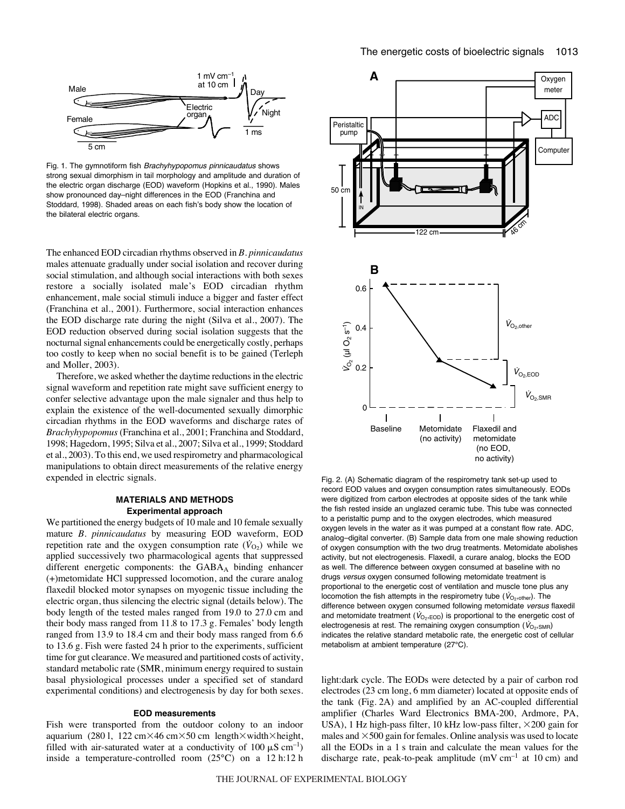



Fig. 1. The gymnotiform fish Brachyhypopomus pinnicaudatus shows strong sexual dimorphism in tail morphology and amplitude and duration of the electric organ discharge (EOD) waveform (Hopkins et al., 1990). Males show pronounced day–night differences in the EOD (Franchina and Stoddard, 1998). Shaded areas on each fish's body show the location of the bilateral electric organs.

The enhanced EOD circadian rhythms observed in *B. pinnicaudatus* males attenuate gradually under social isolation and recover during social stimulation, and although social interactions with both sexes restore a socially isolated male's EOD circadian rhythm enhancement, male social stimuli induce a bigger and faster effect (Franchina et al., 2001). Furthermore, social interaction enhances the EOD discharge rate during the night (Silva et al., 2007). The EOD reduction observed during social isolation suggests that the nocturnal signal enhancements could be energetically costly, perhaps too costly to keep when no social benefit is to be gained (Terleph and Moller, 2003).

Therefore, we asked whether the daytime reductions in the electric signal waveform and repetition rate might save sufficient energy to confer selective advantage upon the male signaler and thus help to explain the existence of the well-documented sexually dimorphic circadian rhythms in the EOD waveforms and discharge rates of *Brachyhypopomus* (Franchina et al., 2001; Franchina and Stoddard, 1998; Hagedorn, 1995; Silva et al., 2007; Silva et al., 1999; Stoddard et al., 2003). To this end, we used respirometry and pharmacological manipulations to obtain direct measurements of the relative energy expended in electric signals.

# **MATERIALS AND METHODS Experimental approach**

We partitioned the energy budgets of 10 male and 10 female sexually mature *B. pinnicaudatus* by measuring EOD waveform, EOD repetition rate and the oxygen consumption rate  $(\dot{V}_{O_2})$  while we applied successively two pharmacological agents that suppressed different energetic components: the GABAA binding enhancer (+)metomidate HCl suppressed locomotion, and the curare analog flaxedil blocked motor synapses on myogenic tissue including the electric organ, thus silencing the electric signal (details below). The body length of the tested males ranged from 19.0 to 27.0 cm and their body mass ranged from 11.8 to 17.3 g. Females' body length ranged from 13.9 to 18.4 cm and their body mass ranged from 6.6 to 13.6 g. Fish were fasted 24 h prior to the experiments, sufficient time for gut clearance. We measured and partitioned costs of activity, standard metabolic rate (SMR, minimum energy required to sustain basal physiological processes under a specified set of standard experimental conditions) and electrogenesis by day for both sexes.

# **EOD measurements**

Fish were transported from the outdoor colony to an indoor aquarium (2801, 122 cm×46 cm×50 cm length×width×height, filled with air-saturated water at a conductivity of 100  $\mu$ S cm<sup>-1</sup>) inside a temperature-controlled room  $(25^{\circ}C)$  on a 12 h:12 h



Fig. 2. (A) Schematic diagram of the respirometry tank set-up used to record EOD values and oxygen consumption rates simultaneously. EODs were digitized from carbon electrodes at opposite sides of the tank while the fish rested inside an unglazed ceramic tube. This tube was connected to a peristaltic pump and to the oxygen electrodes, which measured oxygen levels in the water as it was pumped at a constant flow rate. ADC, analog–digital converter. (B) Sample data from one male showing reduction of oxygen consumption with the two drug treatments. Metomidate abolishes activity, but not electrogenesis. Flaxedil, a curare analog, blocks the EOD as well. The difference between oxygen consumed at baseline with no drugs versus oxygen consumed following metomidate treatment is proportional to the energetic cost of ventilation and muscle tone plus any locomotion the fish attempts in the respirometry tube ( $V_{O_2,other}$ ). The difference between oxygen consumed following metomidate versus flaxedil and metomidate treatment ( $\dot{V}_{\text{O}_2,\text{EOD}}$ ) is proportional to the energetic cost of electrogenesis at rest. The remaining oxygen consumption ( $V_{\text{O}_2,\text{SMB}}$ ) indicates the relative standard metabolic rate, the energetic cost of cellular metabolism at ambient temperature (27°C).

light:dark cycle. The EODs were detected by a pair of carbon rod electrodes (23 cm long, 6 mm diameter) located at opposite ends of the tank (Fig. 2A) and amplified by an AC-coupled differential amplifier (Charles Ward Electronics BMA-200, Ardmore, PA, USA), 1 Hz high-pass filter, 10 kHz low-pass filter,  $\times$ 200 gain for males and  $\times$  500 gain for females. Online analysis was used to locate all the EODs in a 1 s train and calculate the mean values for the discharge rate, peak-to-peak amplitude  $(mVcm^{-1})$  at 10 cm) and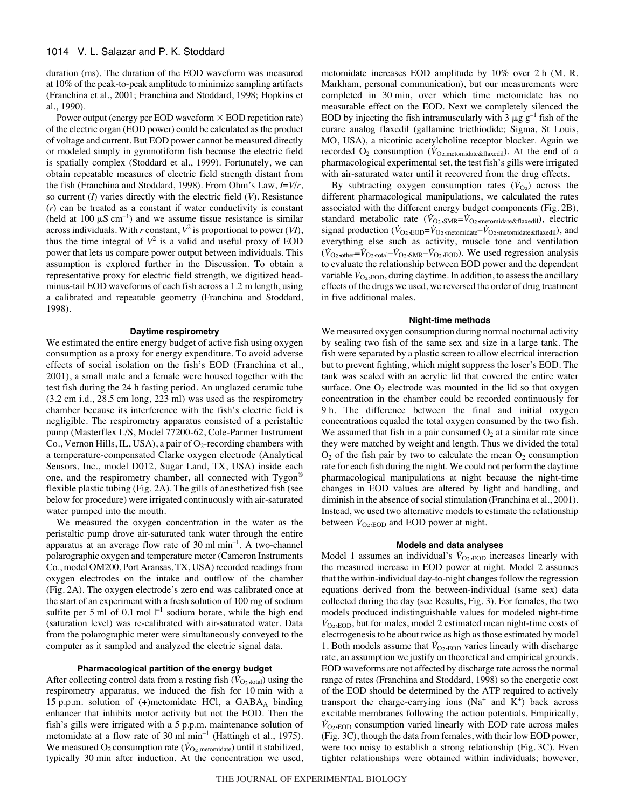duration (ms). The duration of the EOD waveform was measured at 10% of the peak-to-peak amplitude to minimize sampling artifacts (Franchina et al., 2001; Franchina and Stoddard, 1998; Hopkins et al., 1990).

Power output (energy per EOD waveform  $\times$  EOD repetition rate) of the electric organ (EOD power) could be calculated as the product of voltage and current. But EOD power cannot be measured directly or modeled simply in gymnotiform fish because the electric field is spatially complex (Stoddard et al., 1999). Fortunately, we can obtain repeatable measures of electric field strength distant from the fish (Franchina and Stoddard, 1998). From Ohm's Law, *I*=*V*/*r*, so current (*I*) varies directly with the electric field (*V*). Resistance (*r*) can be treated as a constant if water conductivity is constant (held at 100  $\mu$ S cm<sup>-1</sup>) and we assume tissue resistance is similar across individuals. With *r* constant, *V*<sup>2</sup> is proportional to power (*VI*), thus the time integral of  $V^2$  is a valid and useful proxy of EOD power that lets us compare power output between individuals. This assumption is explored further in the Discussion. To obtain a representative proxy for electric field strength, we digitized headminus-tail EOD waveforms of each fish across a 1.2 m length, using a calibrated and repeatable geometry (Franchina and Stoddard, 1998).

# **Daytime respirometry**

We estimated the entire energy budget of active fish using oxygen consumption as a proxy for energy expenditure. To avoid adverse effects of social isolation on the fish's EOD (Franchina et al., 2001), a small male and a female were housed together with the test fish during the 24 h fasting period. An unglazed ceramic tube  $(3.2 \text{ cm } i.d., 28.5 \text{ cm } \log, 223 \text{ ml})$  was used as the respirometry chamber because its interference with the fish's electric field is negligible. The respirometry apparatus consisted of a peristaltic pump (Masterflex L/S, Model 77200-62, Cole-Parmer Instrument Co., Vernon Hills, IL, USA), a pair of  $O<sub>2</sub>$ -recording chambers with a temperature-compensated Clarke oxygen electrode (Analytical Sensors, Inc., model D012, Sugar Land, TX, USA) inside each one, and the respirometry chamber, all connected with Tygon® flexible plastic tubing (Fig. 2A). The gills of anesthetized fish (see below for procedure) were irrigated continuously with air-saturated water pumped into the mouth.

We measured the oxygen concentration in the water as the peristaltic pump drove air-saturated tank water through the entire apparatus at an average flow rate of  $30 \text{ ml min}^{-1}$ . A two-channel polarographic oxygen and temperature meter (Cameron Instruments Co., model OM200, Port Aransas, TX, USA) recorded readings from oxygen electrodes on the intake and outflow of the chamber (Fig. 2A). The oxygen electrode's zero end was calibrated once at the start of an experiment with a fresh solution of 100 mg of sodium sulfite per 5 ml of 0.1 mol  $l^{-1}$  sodium borate, while the high end (saturation level) was re-calibrated with air-saturated water. Data from the polarographic meter were simultaneously conveyed to the computer as it sampled and analyzed the electric signal data.

# **Pharmacological partition of the energy budget**

After collecting control data from a resting fish  $(\dot{V}_{O_2, \text{total}})$  using the respirometry apparatus, we induced the fish for 10 min with a 15 p.p.m. solution of  $(+)$ metomidate HCl, a GABA<sub>A</sub> binding enhancer that inhibits motor activity but not the EOD. Then the fish's gills were irrigated with a 5 p.p.m. maintenance solution of metomidate at a flow rate of 30 ml  $min^{-1}$  (Hattingh et al., 1975). We measured  $O_2$  consumption rate ( $\dot{V}_{O_2, \text{metomidate}}$ ) until it stabilized, typically 30 min after induction. At the concentration we used, metomidate increases EOD amplitude by 10% over 2 h (M. R. Markham, personal communication), but our measurements were completed in 30 min, over which time metomidate has no measurable effect on the EOD. Next we completely silenced the EOD by injecting the fish intramuscularly with  $3 \mu g g^{-1}$  fish of the curare analog flaxedil (gallamine triethiodide; Sigma, St Louis, MO, USA), a nicotinic acetylcholine receptor blocker. Again we recorded  $O_2$  consumption ( $\dot{V}_{O2, \text{metomidate&flaxedil}}$ ). At the end of a pharmacological experimental set, the test fish's gills were irrigated with air-saturated water until it recovered from the drug effects.

By subtracting oxygen consumption rates  $(\dot{V}_{Q2})$  across the different pharmacological manipulations, we calculated the rates associated with the different energy budget components (Fig. 2B), standard metabolic rate  $(\dot{V}_{O_2,SMR} = \dot{V}_{O_2,metomidate\&flaxedil})$ , electric signal production ( $\dot{V}_{\text{O}_2,\text{EOD}} = \dot{V}_{\text{O}_2,\text{metomidate}} - \dot{V}_{\text{O}_2,\text{metomidate\&flaxedil}}$ ), and everything else such as activity, muscle tone and ventilation  $(\dot{V}_{O_2,\text{other}} = \dot{V}_{O_2,\text{total}} - \dot{V}_{O_2,\text{SMR}} - \dot{V}_{O_2,\text{EOD}})$ . We used regression analysis to evaluate the relationship between EOD power and the dependent variable  $\dot{V}_{\text{O}_2,\text{EOD}}$ , during daytime. In addition, to assess the ancillary effects of the drugs we used, we reversed the order of drug treatment in five additional males.

#### **Night-time methods**

We measured oxygen consumption during normal nocturnal activity by sealing two fish of the same sex and size in a large tank. The fish were separated by a plastic screen to allow electrical interaction but to prevent fighting, which might suppress the loser's EOD. The tank was sealed with an acrylic lid that covered the entire water surface. One  $O_2$  electrode was mounted in the lid so that oxygen concentration in the chamber could be recorded continuously for 9h. The difference between the final and initial oxygen concentrations equaled the total oxygen consumed by the two fish. We assumed that fish in a pair consumed  $O_2$  at a similar rate since they were matched by weight and length. Thus we divided the total  $O<sub>2</sub>$  of the fish pair by two to calculate the mean  $O<sub>2</sub>$  consumption rate for each fish during the night. We could not perform the daytime pharmacological manipulations at night because the night-time changes in EOD values are altered by light and handling, and diminish in the absence of social stimulation (Franchina et al., 2001). Instead, we used two alternative models to estimate the relationship between  $\dot{V}_{\text{O}_2,\text{EOD}}$  and EOD power at night.

### **Models and data analyses**

Model 1 assumes an individual's  $\dot{V}_{\text{O}_2,\text{EOD}}$  increases linearly with the measured increase in EOD power at night. Model 2 assumes that the within-individual day-to-night changes follow the regression equations derived from the between-individual (same sex) data collected during the day (see Results, Fig. 3). For females, the two models produced indistinguishable values for modeled night-time  $\dot{V}_{\text{O}_2,\text{EOD}}$ , but for males, model 2 estimated mean night-time costs of electrogenesis to be about twice as high as those estimated by model 1. Both models assume that  $\dot{V}_{\text{O}_2,\text{EOD}}$  varies linearly with discharge rate, an assumption we justify on theoretical and empirical grounds. EOD waveforms are not affected by discharge rate across the normal range of rates (Franchina and Stoddard, 1998) so the energetic cost of the EOD should be determined by the ATP required to actively transport the charge-carrying ions  $(Na<sup>+</sup>$  and  $K<sup>+</sup>)$  back across excitable membranes following the action potentials. Empirically,  $V_{\text{O}_2,\text{EOD}}$  consumption varied linearly with EOD rate across males (Fig. 3C), though the data from females, with their low EOD power, were too noisy to establish a strong relationship (Fig. 3C). Even tighter relationships were obtained within individuals; however,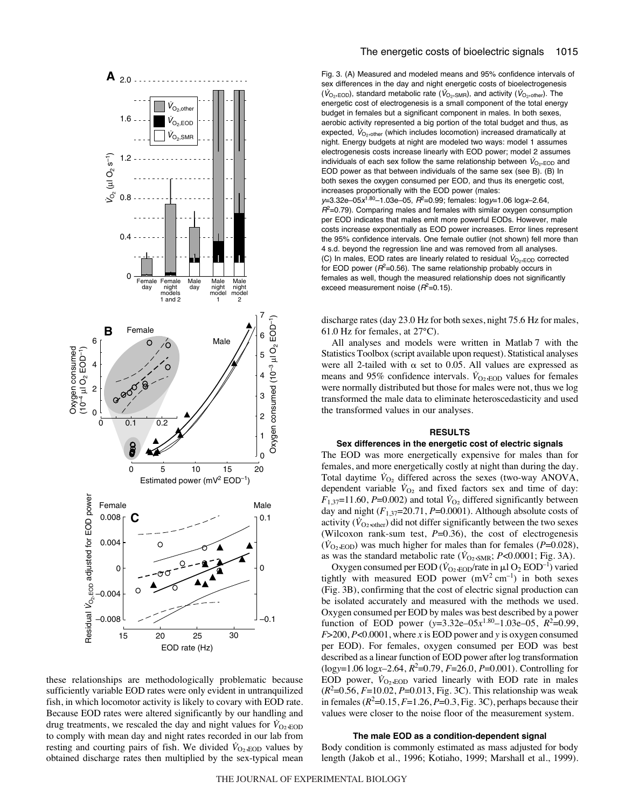

these relationships are methodologically problematic because sufficiently variable EOD rates were only evident in untranquilized fish, in which locomotor activity is likely to covary with EOD rate. Because EOD rates were altered significantly by our handling and drug treatments, we rescaled the day and night values for  $\dot{V}_{\text{O}_2,\text{EOD}}$ to comply with mean day and night rates recorded in our lab from resting and courting pairs of fish. We divided  $\dot{V}_{\text{O}_2,\text{EOD}}$  values by obtained discharge rates then multiplied by the sex-typical mean

Fig. 3. (A) Measured and modeled means and 95% confidence intervals of sex differences in the day and night energetic costs of bioelectrogenesis  $(\dot{V}_{\text{O}_2,\text{EOD}})$ , standard metabolic rate  $(\dot{V}_{\text{O}_2,\text{SMR}})$ , and activity  $(\dot{V}_{\text{O}_2,\text{other}})$ . The energetic cost of electrogenesis is a small component of the total energy budget in females but a significant component in males. In both sexes, aerobic activity represented a big portion of the total budget and thus, as expected,  $V_{\text{O}_2$ , other (which includes locomotion) increased dramatically at night. Energy budgets at night are modeled two ways: model 1 assumes electrogenesis costs increase linearly with EOD power; model 2 assumes individuals of each sex follow the same relationship between  $V_{\text{O}_2,\text{EOD}}$  and EOD power as that between individuals of the same sex (see B). (B) In both sexes the oxygen consumed per EOD, and thus its energetic cost, increases proportionally with the EOD power (males:  $y=3.32e-05x^{1.80}-1.03e-05$ ,  $R^2=0.99$ ; females:  $log y=1.06 log x-2.64$ ,  $R^2$ =0.79). Comparing males and females with similar oxygen consumption per EOD indicates that males emit more powerful EODs. However, male costs increase exponentially as EOD power increases. Error lines represent the 95% confidence intervals. One female outlier (not shown) fell more than 4 s.d. beyond the regression line and was removed from all analyses.

(C) In males, EOD rates are linearly related to residual  $V_{\text{O}_2, EOD}$  corrected for EOD power ( $R^2$ =0.56). The same relationship probably occurs in females as well, though the measured relationship does not significantly exceed measurement noise ( $R^2$ =0.15).

discharge rates (day 23.0 Hz for both sexes, night 75.6 Hz for males, 61.0 Hz for females, at  $27^{\circ}$ C).

All analyses and models were written in Matlab 7 with the Statistics Toolbox (script available upon request). Statistical analyses were all 2-tailed with  $\alpha$  set to 0.05. All values are expressed as means and 95% confidence intervals.  $\dot{V}_{\text{O}_2,\text{EOD}}$  values for females were normally distributed but those for males were not, thus we log transformed the male data to eliminate heteroscedasticity and used the transformed values in our analyses.

# **RESULTS**

#### **Sex differences in the energetic cost of electric signals**

The EOD was more energetically expensive for males than for females, and more energetically costly at night than during the day. Total daytime  $\dot{V}_{O_2}$  differed across the sexes (two-way ANOVA, dependent variable  $\dot{V}_{O_2}$  and fixed factors sex and time of day:  $F_{1,37}$ =11.60, *P*=0.002) and total  $\dot{V}_{O_2}$  differed significantly between day and night (*F*1,37=20.71, *P*=0.0001). Although absolute costs of activity  $(\dot{V}_{O_2,\text{other}})$  did not differ significantly between the two sexes (Wilcoxon rank-sum test, *P*=0.36), the cost of electrogenesis  $(\dot{V}_{O_2, EOD})$  was much higher for males than for females ( $P=0.028$ ), as was the standard metabolic rate ( $\dot{V}_{\text{O}_2,\text{SMR}}$ ; *P*<0.0001; Fig. 3A).

Oxygen consumed per EOD ( $\dot{V}_{\text{O}_2,\text{EOD}}$ /rate in  $\mu$ l O<sub>2</sub> EOD<sup>-1</sup>) varied tightly with measured EOD power  $(mV^2 \text{ cm}^{-1})$  in both sexes (Fig. 3B), confirming that the cost of electric signal production can be isolated accurately and measured with the methods we used. Oxygen consumed per EOD by males was best described by a power function of EOD power  $(y=3.32e-0.5x^{1.80}-1.03e-0.5, R^2=0.99,$ *F*>200, *P*<0.0001, where *x* is EOD power and *y* is oxygen consumed per EOD). For females, oxygen consumed per EOD was best described as a linear function of EOD power after log transformation (log*y*=1.06·log*x*–2.64, *R*<sup>2</sup> =0.79, *F*=26.0, *P*=0.001). Controlling for EOD power,  $\dot{V}_{\text{O}_2,\text{EOD}}$  varied linearly with EOD rate in males  $(R^2 = 0.56, F = 10.02, P = 0.013, Fig. 3C)$ . This relationship was weak in females  $(R^2=0.15, F=1.26, P=0.3, Fig. 3C)$ , perhaps because their values were closer to the noise floor of the measurement system.

### **The male EOD as a condition-dependent signal**

Body condition is commonly estimated as mass adjusted for body length (Jakob et al., 1996; Kotiaho, 1999; Marshall et al., 1999).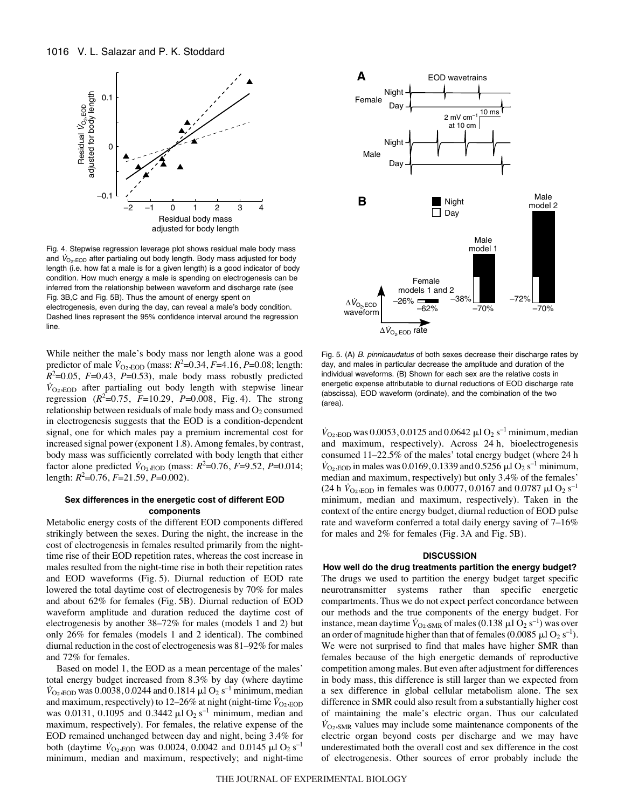

Fig. 4. Stepwise regression leverage plot shows residual male body mass and  $V_{\text{O}_2, \text{EOD}}$  after partialing out body length. Body mass adjusted for body length (i.e. how fat a male is for a given length) is a good indicator of body condition. How much energy a male is spending on electrogenesis can be inferred from the relationship between waveform and discharge rate (see Fig. 3B,C and Fig. 5B). Thus the amount of energy spent on electrogenesis, even during the day, can reveal a male's body condition.

Dashed lines represent the 95% confidence interval around the regression line.

While neither the male's body mass nor length alone was a good predictor of male  $\dot{V}_{\text{O}_2,\text{EOD}}$  (mass:  $R^2$ =0.34,  $F$ =4.16,  $P$ =0.08; length:  $R^2$ =0.05, *F*=0.43, *P*=0.53), male body mass robustly predicted  $V_{\text{O}_2,\text{EOD}}$  after partialing out body length with stepwise linear regression  $(R^2=0.75, F=10.29, P=0.008, Fig. 4)$ . The strong relationship between residuals of male body mass and  $O_2$  consumed in electrogenesis suggests that the EOD is a condition-dependent signal, one for which males pay a premium incremental cost for increased signal power (exponent 1.8). Among females, by contrast, body mass was sufficiently correlated with body length that either factor alone predicted  $\dot{V}_{\text{O}_2,\text{EOD}}$  (mass:  $R^2$ =0.76,  $F$ =9.52,  $P$ =0.014; length: *R*<sup>2</sup> =0.76, *F*=21.59, *P*=0.002).

# **Sex differences in the energetic cost of different EOD components**

Metabolic energy costs of the different EOD components differed strikingly between the sexes. During the night, the increase in the cost of electrogenesis in females resulted primarily from the nighttime rise of their EOD repetition rates, whereas the cost increase in males resulted from the night-time rise in both their repetition rates and EOD waveforms (Fig. 5). Diurnal reduction of EOD rate lowered the total daytime cost of electrogenesis by 70% for males and about 62% for females (Fig. 5B). Diurnal reduction of EOD waveform amplitude and duration reduced the daytime cost of electrogenesis by another 38–72% for males (models 1 and 2) but only 26% for females (models 1 and 2 identical). The combined diurnal reduction in the cost of electrogenesis was 81–92% for males and 72% for females.

Based on model 1, the EOD as a mean percentage of the males' total energy budget increased from 8.3% by day (where daytime  $V_{\text{O}_2,\text{EOD}}$  was 0.0038, 0.0244 and 0.1814  $\mu$ l O<sub>2</sub>s<sup>-1</sup> minimum, median and maximum, respectively) to 12–26% at night (night-time  $\dot{V}_{\text{O}_2,\text{EOD}}$ was 0.0131, 0.1095 and 0.3442  $\mu$ l O<sub>2</sub> s<sup>-1</sup> minimum, median and maximum, respectively). For females, the relative expense of the EOD remained unchanged between day and night, being 3.4% for both (daytime  $\dot{V}_{\text{O}_2,\text{EOD}}$  was 0.0024, 0.0042 and 0.0145  $\mu$ l O<sub>2</sub>s<sup>-1</sup> minimum, median and maximum, respectively; and night-time



Fig. 5. (A) B. pinnicaudatus of both sexes decrease their discharge rates by day, and males in particular decrease the amplitude and duration of the individual waveforms. (B) Shown for each sex are the relative costs in energetic expense attributable to diurnal reductions of EOD discharge rate (abscissa), EOD waveform (ordinate), and the combination of the two (area).

 $\dot{V}_{\text{O}_2,\text{EOD}}$  was 0.0053, 0.0125 and 0.0642  $\mu$ l O<sub>2</sub>s<sup>-1</sup> minimum, median and maximum, respectively). Across 24 h, bioelectrogenesis consumed 11–22.5% of the males' total energy budget (where 24 h  $\dot{V}_{\text{O}_2,\text{EOD}}$  in males was 0.0169, 0.1339 and 0.5256  $\mu$ l O<sub>2</sub>s<sup>-1</sup> minimum, median and maximum, respectively) but only 3.4% of the females' (24 h  $\dot{V}_{\text{O}_2,\text{EOD}}$  in females was 0.0077, 0.0167 and 0.0787  $\mu$ l O<sub>2</sub>s<sup>-1</sup> minimum, median and maximum, respectively). Taken in the context of the entire energy budget, diurnal reduction of EOD pulse rate and waveform conferred a total daily energy saving of 7–16% for males and 2% for females (Fig. 3A and Fig. 5B).

### **DISCUSSION**

**How well do the drug treatments partition the energy budget?** The drugs we used to partition the energy budget target specific neurotransmitter systems rather than specific energetic compartments. Thus we do not expect perfect concordance between our methods and the true components of the energy budget. For instance, mean daytime  $\dot{V}_{\text{O}_2,\text{SMR}}$  of males (0.138  $\mu$ l O<sub>2</sub> s<sup>-1</sup>) was over an order of magnitude higher than that of females (0.0085  $\mu$ l O<sub>2</sub> s<sup>-1</sup>). We were not surprised to find that males have higher SMR than females because of the high energetic demands of reproductive competition among males. But even after adjustment for differences in body mass, this difference is still larger than we expected from a sex difference in global cellular metabolism alone. The sex difference in SMR could also result from a substantially higher cost of maintaining the male's electric organ. Thus our calculated  $V_{\text{O}_2,\text{SMR}}$  values may include some maintenance components of the electric organ beyond costs per discharge and we may have underestimated both the overall cost and sex difference in the cost of electrogenesis. Other sources of error probably include the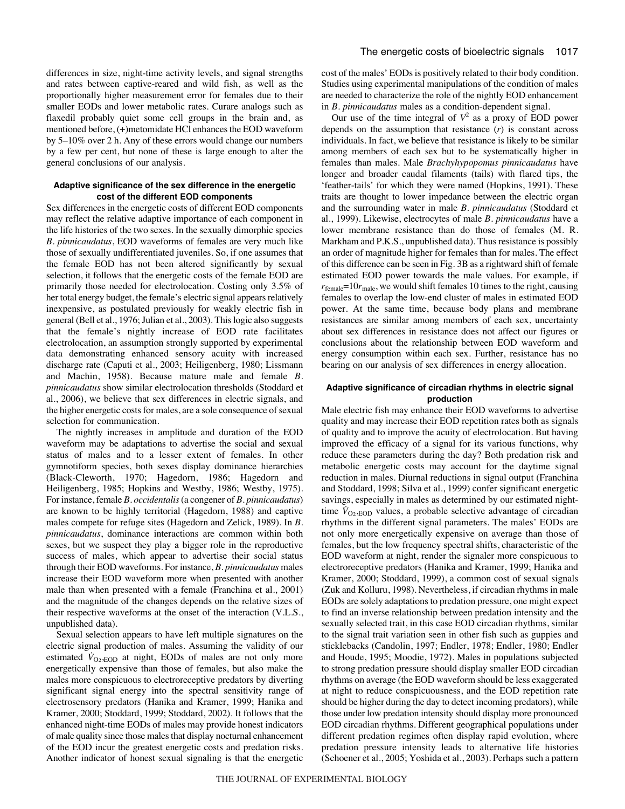differences in size, night-time activity levels, and signal strengths and rates between captive-reared and wild fish, as well as the proportionally higher measurement error for females due to their smaller EODs and lower metabolic rates. Curare analogs such as flaxedil probably quiet some cell groups in the brain and, as mentioned before, (+)metomidate HCl enhances the EOD waveform by 5–10% over 2 h. Any of these errors would change our numbers by a few per cent, but none of these is large enough to alter the general conclusions of our analysis.

# **Adaptive significance of the sex difference in the energetic cost of the different EOD components**

Sex differences in the energetic costs of different EOD components may reflect the relative adaptive importance of each component in the life histories of the two sexes. In the sexually dimorphic species *B. pinnicaudatus*, EOD waveforms of females are very much like those of sexually undifferentiated juveniles. So, if one assumes that the female EOD has not been altered significantly by sexual selection, it follows that the energetic costs of the female EOD are primarily those needed for electrolocation. Costing only 3.5% of her total energy budget, the female's electric signal appears relatively inexpensive, as postulated previously for weakly electric fish in general (Bell et al., 1976; Julian et al., 2003). This logic also suggests that the female's nightly increase of EOD rate facilitates electrolocation, an assumption strongly supported by experimental data demonstrating enhanced sensory acuity with increased discharge rate (Caputi et al., 2003; Heiligenberg, 1980; Lissmann and Machin, 1958). Because mature male and female *B. pinnicaudatus* show similar electrolocation thresholds (Stoddard et al., 2006), we believe that sex differences in electric signals, and the higher energetic costs for males, are a sole consequence of sexual selection for communication.

The nightly increases in amplitude and duration of the EOD waveform may be adaptations to advertise the social and sexual status of males and to a lesser extent of females. In other gymnotiform species, both sexes display dominance hierarchies (Black-Cleworth, 1970; Hagedorn, 1986; Hagedorn and Heiligenberg, 1985; Hopkins and Westby, 1986; Westby, 1975). For instance, female *B. occidentalis*(a congener of *B. pinnicaudatus*) are known to be highly territorial (Hagedorn, 1988) and captive males compete for refuge sites (Hagedorn and Zelick, 1989). In *B. pinnicaudatus*, dominance interactions are common within both sexes, but we suspect they play a bigger role in the reproductive success of males, which appear to advertise their social status through their EOD waveforms. For instance, *B. pinnicaudatus* males increase their EOD waveform more when presented with another male than when presented with a female (Franchina et al., 2001) and the magnitude of the changes depends on the relative sizes of their respective waveforms at the onset of the interaction (V.L.S., unpublished data).

Sexual selection appears to have left multiple signatures on the electric signal production of males. Assuming the validity of our estimated  $V_{\text{O}_2,\text{EOD}}$  at night, EODs of males are not only more energetically expensive than those of females, but also make the males more conspicuous to electroreceptive predators by diverting significant signal energy into the spectral sensitivity range of electrosensory predators (Hanika and Kramer, 1999; Hanika and Kramer, 2000; Stoddard, 1999; Stoddard, 2002). It follows that the enhanced night-time EODs of males may provide honest indicators of male quality since those males that display nocturnal enhancement of the EOD incur the greatest energetic costs and predation risks. Another indicator of honest sexual signaling is that the energetic cost of the males' EODs is positively related to their body condition. Studies using experimental manipulations of the condition of males are needed to characterize the role of the nightly EOD enhancement in *B. pinnicaudatus* males as a condition-dependent signal.

Our use of the time integral of  $V^2$  as a proxy of EOD power depends on the assumption that resistance (*r*) is constant across individuals. In fact, we believe that resistance is likely to be similar among members of each sex but to be systematically higher in females than males. Male *Brachyhypopomus pinnicaudatus* have longer and broader caudal filaments (tails) with flared tips, the 'feather-tails' for which they were named (Hopkins, 1991). These traits are thought to lower impedance between the electric organ and the surrounding water in male *B. pinnicaudatus* (Stoddard et al., 1999). Likewise, electrocytes of male *B. pinnicaudatus* have a lower membrane resistance than do those of females (M. R. Markham and P.K.S., unpublished data). Thus resistance is possibly an order of magnitude higher for females than for males. The effect of this difference can be seen in Fig. 3B as a rightward shift of female estimated EOD power towards the male values. For example, if  $r_{\text{female}} = 10r_{\text{male}}$ , we would shift females 10 times to the right, causing females to overlap the low-end cluster of males in estimated EOD power. At the same time, because body plans and membrane resistances are similar among members of each sex, uncertainty about sex differences in resistance does not affect our figures or conclusions about the relationship between EOD waveform and energy consumption within each sex. Further, resistance has no bearing on our analysis of sex differences in energy allocation.

# **Adaptive significance of circadian rhythms in electric signal production**

Male electric fish may enhance their EOD waveforms to advertise quality and may increase their EOD repetition rates both as signals of quality and to improve the acuity of electrolocation. But having improved the efficacy of a signal for its various functions, why reduce these parameters during the day? Both predation risk and metabolic energetic costs may account for the daytime signal reduction in males. Diurnal reductions in signal output (Franchina and Stoddard, 1998; Silva et al., 1999) confer significant energetic savings, especially in males as determined by our estimated nighttime  $\dot{V}_{\text{O}_2,\text{EOD}}$  values, a probable selective advantage of circadian rhythms in the different signal parameters. The males' EODs are not only more energetically expensive on average than those of females, but the low frequency spectral shifts, characteristic of the EOD waveform at night, render the signaler more conspicuous to electroreceptive predators (Hanika and Kramer, 1999; Hanika and Kramer, 2000; Stoddard, 1999), a common cost of sexual signals (Zuk and Kolluru, 1998). Nevertheless, if circadian rhythms in male EODs are solely adaptations to predation pressure, one might expect to find an inverse relationship between predation intensity and the sexually selected trait, in this case EOD circadian rhythms, similar to the signal trait variation seen in other fish such as guppies and sticklebacks (Candolin, 1997; Endler, 1978; Endler, 1980; Endler and Houde, 1995; Moodie, 1972). Males in populations subjected to strong predation pressure should display smaller EOD circadian rhythms on average (the EOD waveform should be less exaggerated at night to reduce conspicuousness, and the EOD repetition rate should be higher during the day to detect incoming predators), while those under low predation intensity should display more pronounced EOD circadian rhythms. Different geographical populations under different predation regimes often display rapid evolution, where predation pressure intensity leads to alternative life histories (Schoener et al., 2005; Yoshida et al., 2003). Perhaps such a pattern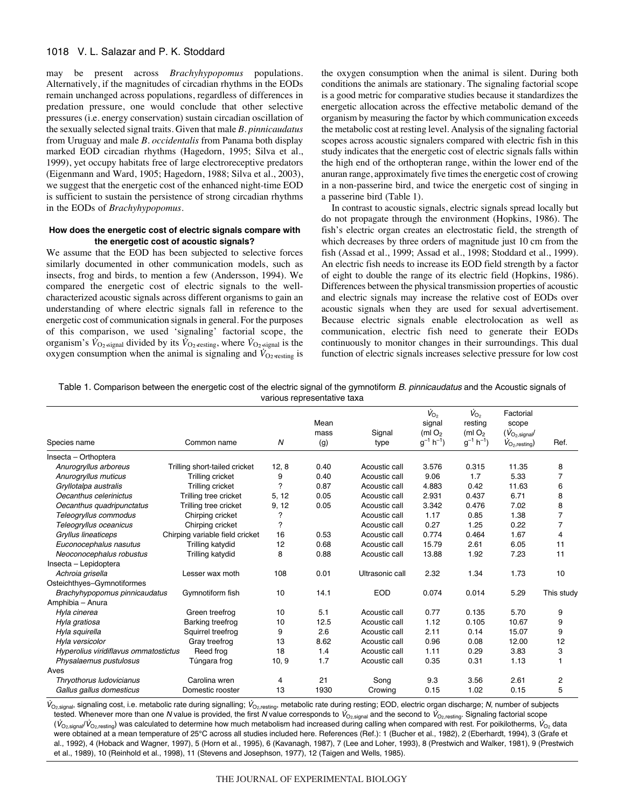# 1018 V. L. Salazar and P. K. Stoddard

may be present across *Brachyhypopomus* populations. Alternatively, if the magnitudes of circadian rhythms in the EODs remain unchanged across populations, regardless of differences in predation pressure, one would conclude that other selective pressures (i.e. energy conservation) sustain circadian oscillation of the sexually selected signal traits. Given that male *B. pinnicaudatus* from Uruguay and male *B. occidentalis* from Panama both display marked EOD circadian rhythms (Hagedorn, 1995; Silva et al., 1999), yet occupy habitats free of large electroreceptive predators (Eigenmann and Ward, 1905; Hagedorn, 1988; Silva et al., 2003), we suggest that the energetic cost of the enhanced night-time EOD is sufficient to sustain the persistence of strong circadian rhythms in the EODs of *Brachyhypopomus*.

### **How does the energetic cost of electric signals compare with the energetic cost of acoustic signals?**

We assume that the EOD has been subjected to selective forces similarly documented in other communication models, such as insects, frog and birds, to mention a few (Andersson, 1994). We compared the energetic cost of electric signals to the wellcharacterized acoustic signals across different organisms to gain an understanding of where electric signals fall in reference to the energetic cost of communication signals in general. For the purposes of this comparison, we used 'signaling' factorial scope, the organism's  $\dot{V}_{\text{O}_2,\text{signal}}$  divided by its  $\dot{V}_{\text{O}_2,\text{restring}}$ , where  $\dot{V}_{\text{O}_2,\text{signal}}$  is the oxygen consumption when the animal is signaling and  $\dot{V}_{O2, \text{resting}}$  is the oxygen consumption when the animal is silent. During both conditions the animals are stationary. The signaling factorial scope is a good metric for comparative studies because it standardizes the energetic allocation across the effective metabolic demand of the organism by measuring the factor by which communication exceeds the metabolic cost at resting level. Analysis of the signaling factorial scopes across acoustic signalers compared with electric fish in this study indicates that the energetic cost of electric signals falls within the high end of the orthopteran range, within the lower end of the anuran range, approximately five times the energetic cost of crowing in a non-passerine bird, and twice the energetic cost of singing in a passerine bird (Table 1).

In contrast to acoustic signals, electric signals spread locally but do not propagate through the environment (Hopkins, 1986). The fish's electric organ creates an electrostatic field, the strength of which decreases by three orders of magnitude just 10 cm from the fish (Assad et al., 1999; Assad et al., 1998; Stoddard et al., 1999). An electric fish needs to increase its EOD field strength by a factor of eight to double the range of its electric field (Hopkins, 1986). Differences between the physical transmission properties of acoustic and electric signals may increase the relative cost of EODs over acoustic signals when they are used for sexual advertisement. Because electric signals enable electrolocation as well as communication, electric fish need to generate their EODs continuously to monitor changes in their surroundings. This dual function of electric signals increases selective pressure for low cost

| Table 1. Comparison between the energetic cost of the electric signal of the gymnotiform B. pinnicaudatus and the Acoustic signals of |  |
|---------------------------------------------------------------------------------------------------------------------------------------|--|
| various representative taxa                                                                                                           |  |

|                                                    |                                 |       |      |                 | $\dot{V}_{\rm O_2}$        | $\dot{V}_{\rm O_2}$        | Factorial                  |                |
|----------------------------------------------------|---------------------------------|-------|------|-----------------|----------------------------|----------------------------|----------------------------|----------------|
|                                                    |                                 |       | Mean |                 | signal                     | resting                    | scope                      |                |
|                                                    |                                 |       | mass | Signal          | (ml $O2$                   | (ml $O2$                   | $(V_{O_2,signal}$          |                |
| Species name                                       | Common name                     | N     | (g)  | type            | $g^{-1}$ h <sup>-1</sup> ) | $g^{-1}$ h <sup>-1</sup> ) | $V_{O_2, \text{resting}})$ | Ref.           |
| Insecta - Orthoptera                               |                                 |       |      |                 |                            |                            |                            |                |
| Anurogryllus arboreus                              | Trilling short-tailed cricket   | 12, 8 | 0.40 | Acoustic call   | 3.576                      | 0.315                      | 11.35                      | 8              |
| Anurogryllus muticus                               | Trilling cricket                | 9     | 0.40 | Acoustic call   | 9.06                       | 1.7                        | 5.33                       | 7              |
| Gryllotalpa australis                              | Trilling cricket                | 7     | 0.87 | Acoustic call   | 4.883                      | 0.42                       | 11.63                      | 6              |
| Oecanthus celerinictus                             | Trilling tree cricket           | 5, 12 | 0.05 | Acoustic call   | 2.931                      | 0.437                      | 6.71                       | 8              |
| Oecanthus quadripunctatus                          | Trilling tree cricket           | 9, 12 | 0.05 | Acoustic call   | 3.342                      | 0.476                      | 7.02                       | 8              |
| Teleogryllus commodus                              | Chirping cricket                | ?     |      | Acoustic call   | 1.17                       | 0.85                       | 1.38                       | $\overline{7}$ |
| Teleogryllus oceanicus                             | Chirping cricket                | ?     |      | Acoustic call   | 0.27                       | 1.25                       | 0.22                       | $\overline{7}$ |
| Gryllus lineaticeps                                | Chirping variable field cricket | 16    | 0.53 | Acoustic call   | 0.774                      | 0.464                      | 1.67                       | 4              |
| Euconocephalus nasutus                             | Trilling katydid                | 12    | 0.68 | Acoustic call   | 15.79                      | 2.61                       | 6.05                       | 11             |
| Neoconocephalus robustus                           | Trilling katydid                | 8     | 0.88 | Acoustic call   | 13.88                      | 1.92                       | 7.23                       | 11             |
| Insecta - Lepidoptera                              |                                 |       |      |                 |                            |                            |                            |                |
| Achroia grisella                                   | Lesser wax moth                 | 108   | 0.01 | Ultrasonic call | 2.32                       | 1.34                       | 1.73                       | 10             |
| Osteichthyes-Gymnotiformes                         |                                 |       |      |                 |                            |                            |                            |                |
| Brachyhypopomus pinnicaudatus                      | Gymnotiform fish                | 10    | 14.1 | <b>EOD</b>      | 0.074                      | 0.014                      | 5.29                       | This study     |
| Amphibia - Anura                                   |                                 |       |      |                 |                            |                            |                            |                |
| Hyla cinerea                                       | Green treefrog                  | 10    | 5.1  | Acoustic call   | 0.77                       | 0.135                      | 5.70                       | 9              |
| Hyla gratiosa                                      | Barking treefrog                | 10    | 12.5 | Acoustic call   | 1.12                       | 0.105                      | 10.67                      | 9              |
| Hyla squirella                                     | Squirrel treefrog               | 9     | 2.6  | Acoustic call   | 2.11                       | 0.14                       | 15.07                      | 9              |
| Hyla versicolor                                    | Gray treefrog                   | 13    | 8.62 | Acoustic call   | 0.96                       | 0.08                       | 12.00                      | 12             |
| Hyperolius viridiflavus ommatostictus<br>Reed frog |                                 | 18    | 1.4  | Acoustic call   | 1.11                       | 0.29                       | 3.83                       | 3              |
| Physalaemus pustulosus                             | Túngara frog                    | 10, 9 | 1.7  | Acoustic call   | 0.35                       | 0.31                       | 1.13                       |                |
| Aves                                               |                                 |       |      |                 |                            |                            |                            |                |
| Thryothorus ludovicianus                           | Carolina wren                   | 4     | 21   | Song            | 9.3                        | 3.56                       | 2.61                       | 2              |
| Gallus gallus domesticus                           | Domestic rooster                | 13    | 1930 | Crowing         | 0.15                       | 1.02                       | 0.15                       | 5              |

 $V_{\rm O_2,signal}$ , signaling cost, i.e. metabolic rate during signalling;  $V_{\rm O_2, resting}$ , metabolic rate during resting; EOD, electric organ discharge; N, number of subjects tested. Whenever more than one N value is provided, the first N value corresponds to  $V_{\text{O}}$ <sub>signal</sub> and the second to  $V_{\text{O}}$ <sub>resting</sub>. Signaling factorial scope  $(\dot{V}_{\text{O}_2,\text{signal}}/\dot{V}_{\text{O}_2,\text{result}})$  was calculated to determine how much metabolism had increased during calling when compared with rest. For poikilotherms,  $\dot{V}_{\text{O}_2}$  data were obtained at a mean temperature of 25°C across all studies included here. References (Ref.): 1 (Bucher et al., 1982), 2 (Eberhardt, 1994), 3 (Grafe et al., 1992), 4 (Hoback and Wagner, 1997), 5 (Horn et al., 1995), 6 (Kavanagh, 1987), 7 (Lee and Loher, 1993), 8 (Prestwich and Walker, 1981), 9 (Prestwich et al., 1989), 10 (Reinhold et al., 1998), 11 (Stevens and Josephson, 1977), 12 (Taigen and Wells, 1985).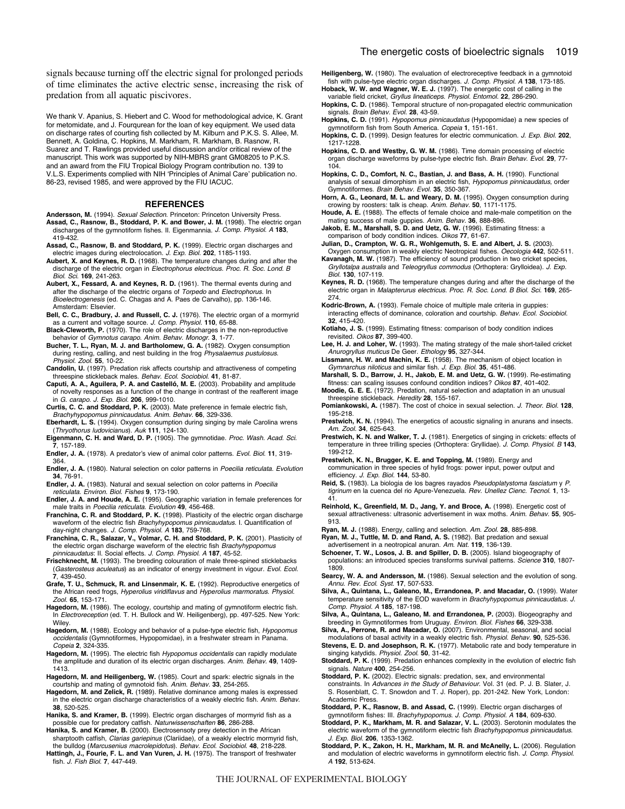signals because turning off the electric signal for prolonged periods of time eliminates the active electric sense, increasing the risk of predation from all aquatic piscivores.

We thank V. Apanius, S. Hiebert and C. Wood for methodological advice, K. Grant for metomidate, and J. Fourqurean for the loan of key equipment. We used data on discharge rates of courting fish collected by M. Kilburn and P.K.S. S. Allee, M. Bennett, A. Goldina, C. Hopkins, M. Markham, R. Markham, B. Rasnow, R. Suarez and T. Rawlings provided useful discussion and/or critical review of the manuscript. This work was supported by NIH-MBRS grant GM08205 to P.K.S. and an award from the FIU Tropical Biology Program contribution no. 139 to V.L.S. Experiments complied with NIH ʻPrinciples of Animal Care' publication no. 86-23, revised 1985, and were approved by the FIU IACUC.

#### **REFERENCES**

- Andersson, M. (1994). Sexual Selection. Princeton: Princeton University Press.
- **Assad, C., Rasnow, B., Stoddard, P. K. and Bower, J. M.** (1998). The electric organ discharges of the gymnotiform fishes. II. Eigenmannia. J. Comp. Physiol. A **183**, 419-432.
- **Assad, C., Rasnow, B. and Stoddard, P. K.** (1999). Electric organ discharges and electric images during electrolocation. J. Exp. Biol. **202**, 1185-1193.
- **Aubert, X. and Keynes, R. D.** (1968). The temperature changes during and after the discharge of the electric organ in Electrophorus electricus. Proc. R. Soc. Lond. B Biol. Sci. **169**, 241-263.
- **Aubert, X., Fessard, A. and Keynes, R. D.** (1961). The thermal events during and after the discharge of the electric organs of Torpedo and Electrophorus. In Bioelectrogenesis (ed. C. Chagas and A. Paes de Carvalho), pp. 136-146. Amsterdam: Elsevier.
- **Bell, C. C., Bradbury, J. and Russell, C. J.** (1976). The electric organ of a mormyrid as a current and voltage source. J. Comp. Physiol. **110**, 65-88.
- **Black-Cleworth, P.** (1970). The role of electric discharges in the non-reproductive behavior of Gymnotus carapo. Anim. Behav. Monogr. **3**, 1-77.
- **Bucher, T. L., Ryan, M. J. and Bartholomew, G. A.** (1982). Oxygen consumption during resting, calling, and nest building in the frog Physalaemus pustulosus. Physiol. Zool. **55**, 10-22.
- **Candolin, U.** (1997). Predation risk affects courtship and attractiveness of competing threespine stickleback males. Behav. Ecol. Sociobiol. **41**, 81-87.
- **Caputi, A. A., Aguilera, P. A. and Castelló, M. E.** (2003). Probability and amplitude of novelty responses as a function of the change in contrast of the reafferent image in G. carapo. J. Exp. Biol. **206**, 999-1010.
- **Curtis, C. C. and Stoddard, P. K.** (2003). Mate preference in female electric fish, Brachyhypopomus pinnicaudatus. Anim. Behav. **66**, 329-336.
- **Eberhardt, L. S.** (1994). Oxygen consumption during singing by male Carolina wrens (Thryothorus ludovicianus). Auk **111**, 124-130.
- **Eigenmann, C. H. and Ward, D. P.** (1905). The gymnotidae. Proc. Wash. Acad. Sci. **7**, 157-189.
- **Endler, J. A.** (1978). A predator's view of animal color patterns. Evol. Biol. **11**, 319- 364.
- **Endler, J. A.** (1980). Natural selection on color patterns in Poecilia reticulata. Evolution **34**, 76-91.
- **Endler, J. A.** (1983). Natural and sexual selection on color patterns in Poecilia reticulata. Environ. Biol. Fishes **9**, 173-190.
- **Endler, J. A. and Houde, A. E.** (1995). Geographic variation in female preferences for male traits in Poecilia reticulata. Evolution **49**, 456-468.
- **Franchina, C. R. and Stoddard, P. K.** (1998). Plasticity of the electric organ discharge waveform of the electric fish Brachyhypopomus pinnicaudatus. I. Quantification of day-night changes. J. Comp. Physiol. A **183**, 759-768.
- **Franchina, C. R., Salazar, V., Volmar, C. H. and Stoddard, P. K.** (2001). Plasticity of the electric organ discharge waveform of the electric fish Brachyhypopomus pinnicaudatus: II. Social effects. J. Comp. Physiol. A **187**, 45-52.
- **Frischknecht, M.** (1993). The breeding colouration of male three-spined sticklebacks (Gasterosteus aculeatus) as an indicator of energy investment in vigour. Evol. Ecol. **7**, 439-450.
- **Grafe, T. U., Schmuck, R. and Linsenmair, K. E.** (1992). Reproductive energetics of the African reed frogs, Hyperolius viridiflavus and Hyperolius marmoratus. Physiol. Zool. **65**, 153-171.
- Hagedorn, M. (1986). The ecology, courtship and mating of gymnotiform electric fish. In Electroreception (ed. T. H. Bullock and W. Heiligenberg), pp. 497-525. New York: Wiley.
- Hagedorn, M. (1988). Ecology and behavior of a pulse-type electric fish, Hypopomus occidentalis (Gymnotiformes, Hypopomidae), in a freshwater stream in Panama. Copeia **2**, 324-335.
- Hagedorn, M. (1995). The electric fish *Hypopomus occidentalis* can rapidly modulate the amplitude and duration of its electric organ discharges. Anim. Behav. **49**, 1409- 1413.
- **Hagedorn, M. and Heiligenberg, W.** (1985). Court and spark: electric signals in the courtship and mating of gymnotoid fish. Anim. Behav. **33**, 254-265.
- **Hagedorn, M. and Zelick, R.** (1989). Relative dominance among males is expressed in the electric organ discharge characteristics of a weakly electric fish. Anim. Behav. **38**, 520-525.
- **Hanika, S. and Kramer, B.** (1999). Electric organ discharges of mormyrid fish as a possible cue for predatory catfish. Naturwissenschaften **86**, 286-288.
- **Hanika, S. and Kramer, B.** (2000). Electrosensoty prey detection in the African sharptooth catfish, Clarias gariepinus (Clariidae), of a weakly electric mormyrid fish,
- the bulldog (Marcusenius macrolepidotus). Behav. Ecol. Sociobiol. **48**, 218-228. **Hattingh, J., Fourie, F. L. and Van Vuren, J. H.** (1975). The transport of freshwater fish. J. Fish Biol. **7**, 447-449.

**Heiligenberg, W.** (1980). The evaluation of electroreceptive feedback in a gymnotoid fish with pulse-type electric organ discharges. J. Comp. Physiol. A **138**, 173-185.

- **Hoback, W. W. and Wagner, W. E. J.** (1997). The energetic cost of calling in the variable field cricket, Gryllus lineaticeps. Physiol. Entomol. **22**, 286-290.
- **Hopkins, C. D.** (1986). Temporal structure of non-propagated electric communication signals. Brain Behav. Evol. **28**, 43-59.
- **Hopkins, C. D.** (1991). Hypopomus pinnicaudatus (Hypopomidae) a new species of gymnotiform fish from South America. Copeia **1**, 151-161. **Hopkins, C. D.** (1999). Design features for electric communication. J. Exp. Biol. **202**,
- 1217-1228.
- **Hopkins, C. D. and Westby, G. W. M.** (1986). Time domain processing of electric organ discharge waveforms by pulse-type electric fish. Brain Behav. Evol. **29**, 77- 104.
- **Hopkins, C. D., Comfort, N. C., Bastian, J. and Bass, A. H.** (1990). Functional analysis of sexual dimorphism in an electric fish, Hypopomus pinnicaudatus, order Gymnotiformes. Brain Behav. Evol. **35**, 350-367.
- **Horn, A. G., Leonard, M. L. and Weary, D. M.** (1995). Oxygen consumption during crowing by roosters: talk is cheap. Anim. Behav. **50**, 1171-1175.
- **Houde, A. E.** (1988). The effects of female choice and male-male competition on the mating success of male guppies. Anim. Behav. **36**, 888-896.
- **Jakob, E. M., Marshall, S. D. and Uetz, G. W.** (1996). Estimating fitness: a comparison of body condition indices. Oikos **77**, 61-67.
- 
- **Julian, D., Crampton, W. G. R., Wohlgemuth, S. E. and Albert, J. S.** (2003). Oxygen consumption in weakly electric Neotropical fishes. Oecologia **442**, 502-511. **Kavanagh, M. W.** (1987). The efficiency of sound production in two cricket species, Gryllotalpa australis and Teleogryllus commodus (Orthoptera: Grylloidea). J. Exp. Biol. **130**, 107-119.
- **Keynes, R. D.** (1968). The temperature changes during and after the discharge of the electric organ in Malapterurus electricus. Proc. R. Soc. Lond. B Biol. Sci. **169**, 265- 274.
- **Kodric-Brown, A.** (1993). Female choice of multiple male criteria in guppies: interacting effects of dominance, coloration and courtship. Behav. Ecol. Sociobiol. **32**, 415-420.
- **Kotiaho, J. S.** (1999). Estimating fitness: comparison of body condition indices revisited. Oikos **87**, 399-400.
- **Lee, H. J. and Loher, W.** (1993). The mating strategy of the male short-tailed cricket Anurogryllus muticus De Geer. Ethology **95**, 327-344.
- **Lissmann, H. W. and Machin, K. E.** (1958). The mechanism of object location in Gymnarchus niloticus and similar fish. J. Exp. Biol. **35**, 451-486.
- **Marshall, S. D., Barrow, J. H., Jakob, E. M. and Uetz, G. W.** (1999). Re-estimating fitness: can scaling issuses confound condition indices? Oikos **87**, 401-402.
- **Moodie, G. E. E.** (1972). Predation, natural selection and adaptation in an unusual threespine stickleback. Heredity **28**, 155-167.
- **Pomiankowski, A.** (1987). The cost of choice in sexual selection. J. Theor. Biol. **128**, 195-218.
- Prestwich, K. N. (1994). The energetics of acoustic signaling in anurans and insects. Am. Zool. **34**, 625-643.
- **Prestwich, K. N. and Walker, T. J.** (1981). Energetics of singing in crickets: effects of temperature in three trilling species (Orthoptera: Gryllidae). J. Comp. Physiol. B **143**, 199-212.
- **Prestwich, K. N., Brugger, K. E. and Topping, M.** (1989). Energy and communication in three species of hylid frogs: power input, power output and efficiency. J. Exp. Biol. **144**, 53-80.
- **Reid, S.** (1983). La biologia de los bagres rayados Pseudoplatystoma fasciatum y P. tigrinum en la cuenca del rio Apure-Venezuela. Rev. Unellez Cienc. Tecnol. **1**, 13- 41.
- **Reinhold, K., Greenfield, M. D., Jang, Y. and Broce, A.** (1998). Energetic cost of sexual attractiveness: ultrasonic advertisement in wax moths. Anim. Behav. **55**, 905- 913.
- **Ryan, M. J.** (1988). Energy, calling and selection. Am. Zool. **28**, 885-898.
- **Ryan, M. J., Tuttle, M. D. and Rand, A. S.** (1982). Bat predation and sexual advertisement in a neotropical anuran. Am. Nat. **119**, 136-139.
- **Schoener, T. W., Losos, J. B. and Spiller, D. B.** (2005). Island biogeography of populations: an introduced species transforms survival patterns. Science **310**, 1807- 1809.
- **Searcy, W. A. and Andersson, M.** (1986). Sexual selection and the evolution of song.
- Annu. Rev. Ecol. Syst. **17**, 507-533. **Silva, A., Quintana, L., Galeano, M., Errandonea, P. and Macadar, O.** (1999). Water temperature sensitivity of the EOD waveform in Brachyhypopomus pinnicaudatus. J. Comp. Physiol. A **185**, 187-198.
- **Silva, A., Quintana, L., Galeano, M. and Errandonea, P.** (2003). Biogeography and breeding in Gymnotiformes from Uruguay. Environ. Biol. Fishes **66**, 329-338.
- **Silva, A., Perrone, R. and Macadar, O.** (2007). Environmental, seasonal, and social modulations of basal activity in a weakly electric fish. Physiol. Behav. **90**, 525-536.
- **Stevens, E. D. and Josephson, R. K.** (1977). Metabolic rate and body temperature in singing katydids. Physiol. Zool. **50**, 31-42.
- **Stoddard, P. K.** (1999). Predation enhances complexity in the evolution of electric fish signals. Nature **400**, 254-256.
- **Stoddard, P. K.** (2002). Electric signals: predation, sex, and environmental constraints. In Advances in the Study of Behaviour. Vol. 31 (ed. P. J. B. Slater, J. S. Rosenblatt, C. T. Snowdon and T. J. Roper), pp. 201-242. New York, London: Academic Press.
- **Stoddard, P. K., Rasnow, B. and Assad, C.** (1999). Electric organ discharges of gymnotiform fishes: III. Brachyhypopomus. J. Comp. Physiol. A **184**, 609-630.
- **Stoddard, P. K., Markham, M. R. and Salazar, V. L.** (2003). Serotonin modulates the electric waveform of the gymnotiform electric fish Brachyhypopomus pinnicaudatus. J. Exp. Biol. **206**, 1353-1362.
- **Stoddard, P. K., Zakon, H. H., Markham, M. R. and McAnelly, L.** (2006). Regulation and modulation of electric waveforms in gymnotiform electric fish. J. Comp. Physiol. A **192**, 513-624.